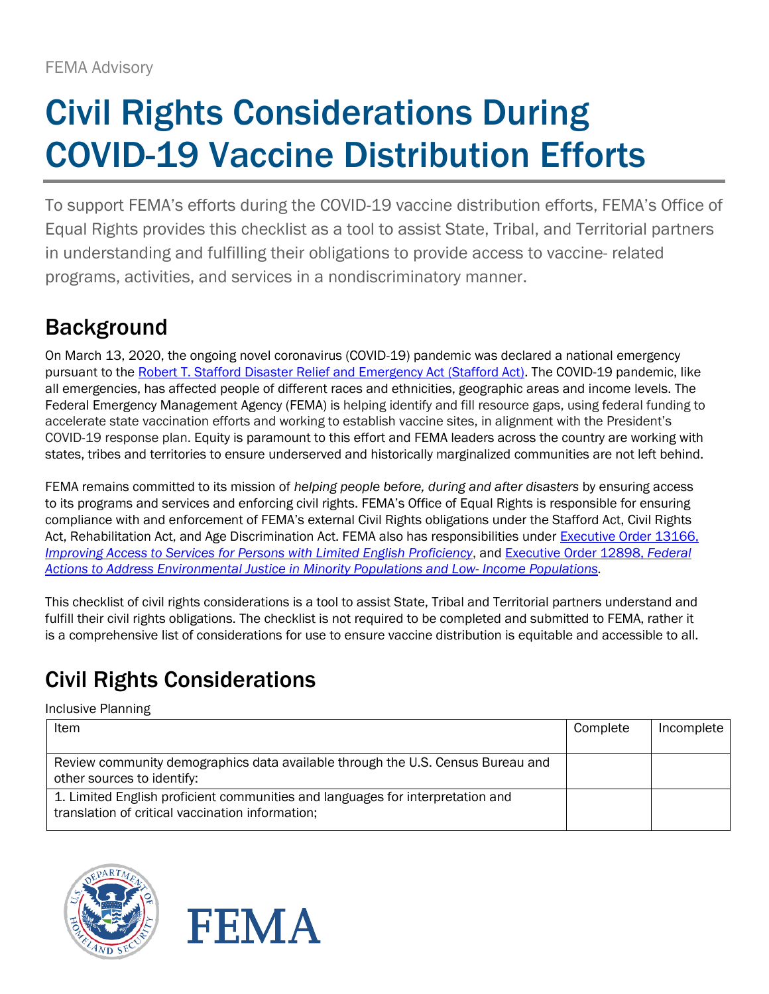# Civil Rights Considerations During COVID-19 Vaccine Distribution Efforts

To support FEMA's efforts during the COVID-19 vaccine distribution efforts, FEMA's Office of Equal Rights provides this checklist as a tool to assist State, Tribal, and Territorial partners in understanding and fulfilling their obligations to provide access to vaccine- related programs, activities, and services in a nondiscriminatory manner.

## Background

On March 13, 2020, the ongoing novel coronavirus (COVID-19) pandemic was declared a national emergency pursuant to the [Robert T. Stafford Disaster Relief and Emergency Act \(Stafford Act\).](https://www.fema.gov/disasters/stafford-act) The COVID-19 pandemic, like all emergencies, has affected people of different races and ethnicities, geographic areas and income levels. The Federal Emergency Management Agency (FEMA) is helping identify and fill resource gaps, using federal funding to accelerate state vaccination efforts and working to establish vaccine sites, in alignment with the President's COVID-19 response plan. Equity is paramount to this effort and FEMA leaders across the country are working with states, tribes and territories to ensure underserved and historically marginalized communities are not left behind.

FEMA remains committed to its mission of *helping people before, during and after disasters* by ensuring access to its programs and services and enforcing civil rights. FEMA's Office of Equal Rights is responsible for ensuring compliance with and enforcement of FEMA's external Civil Rights obligations under the Stafford Act, Civil Rights Act, Rehabilitation Act, and Age Discrimination Act. FEMA also has responsibilities under [Executive Order 13166,](https://www.justice.gov/crt/executive-order-13166) *[Improving Access to Services for Persons with Limited English Proficiency](https://www.justice.gov/crt/executive-order-13166)*, and [Executive Order 12898,](https://www.archives.gov/federal-register/executive-orders/1994.html#12898) *Federal [Actions to Address Environmental Justice in Minority Populations and Low-](https://www.archives.gov/federal-register/executive-orders/1994.html#12898) Income Populations.*

This checklist of civil rights considerations is a tool to assist State, Tribal and Territorial partners understand and fulfill their civil rights obligations. The checklist is not required to be completed and submitted to FEMA, rather it is a comprehensive list of considerations for use to ensure vaccine distribution is equitable and accessible to all.

# Civil Rights Considerations

Inclusive Planning

| Item                                                                                                                               | Complete | Incomplete |
|------------------------------------------------------------------------------------------------------------------------------------|----------|------------|
| Review community demographics data available through the U.S. Census Bureau and<br>other sources to identify:                      |          |            |
| 1. Limited English proficient communities and languages for interpretation and<br>translation of critical vaccination information; |          |            |



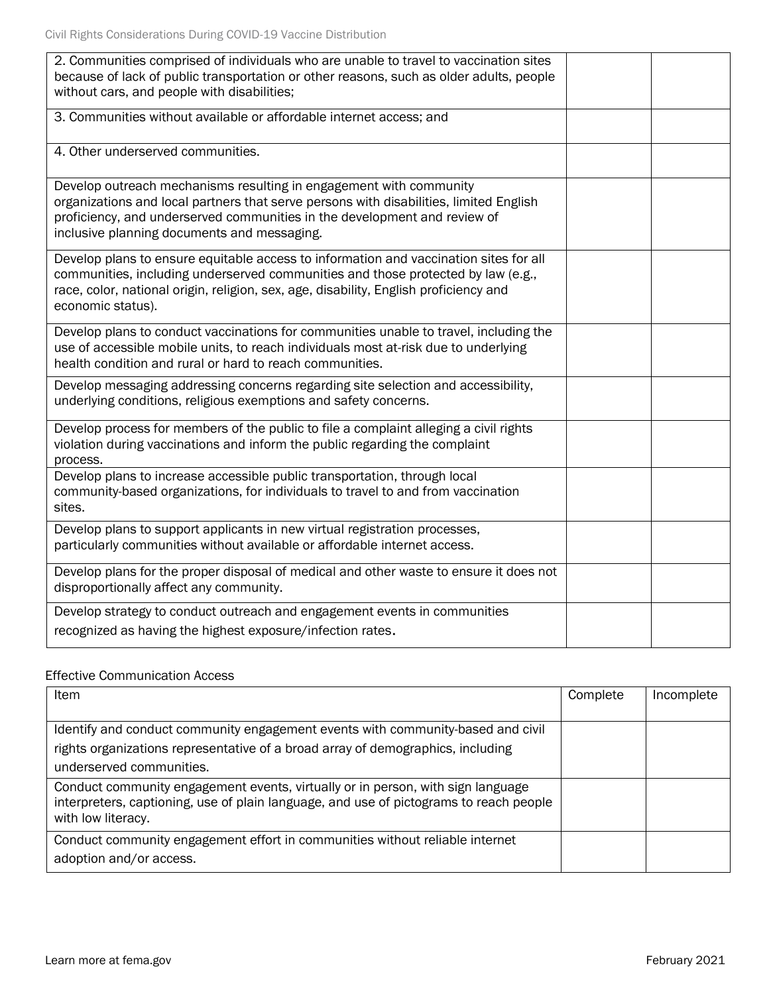| 2. Communities comprised of individuals who are unable to travel to vaccination sites<br>because of lack of public transportation or other reasons, such as older adults, people<br>without cars, and people with disabilities;                                                          |  |
|------------------------------------------------------------------------------------------------------------------------------------------------------------------------------------------------------------------------------------------------------------------------------------------|--|
| 3. Communities without available or affordable internet access; and                                                                                                                                                                                                                      |  |
| 4. Other underserved communities.                                                                                                                                                                                                                                                        |  |
| Develop outreach mechanisms resulting in engagement with community<br>organizations and local partners that serve persons with disabilities, limited English<br>proficiency, and underserved communities in the development and review of<br>inclusive planning documents and messaging. |  |
| Develop plans to ensure equitable access to information and vaccination sites for all<br>communities, including underserved communities and those protected by law (e.g.,<br>race, color, national origin, religion, sex, age, disability, English proficiency and<br>economic status).  |  |
| Develop plans to conduct vaccinations for communities unable to travel, including the<br>use of accessible mobile units, to reach individuals most at-risk due to underlying<br>health condition and rural or hard to reach communities.                                                 |  |
| Develop messaging addressing concerns regarding site selection and accessibility,<br>underlying conditions, religious exemptions and safety concerns.                                                                                                                                    |  |
| Develop process for members of the public to file a complaint alleging a civil rights<br>violation during vaccinations and inform the public regarding the complaint<br>process.                                                                                                         |  |
| Develop plans to increase accessible public transportation, through local<br>community-based organizations, for individuals to travel to and from vaccination<br>sites.                                                                                                                  |  |
| Develop plans to support applicants in new virtual registration processes,<br>particularly communities without available or affordable internet access.                                                                                                                                  |  |
| Develop plans for the proper disposal of medical and other waste to ensure it does not<br>disproportionally affect any community.                                                                                                                                                        |  |
| Develop strategy to conduct outreach and engagement events in communities<br>recognized as having the highest exposure/infection rates.                                                                                                                                                  |  |

#### Effective Communication Access

| Item                                                                                                                                                                                            | Complete | Incomplete |
|-------------------------------------------------------------------------------------------------------------------------------------------------------------------------------------------------|----------|------------|
| Identify and conduct community engagement events with community-based and civil<br>rights organizations representative of a broad array of demographics, including<br>underserved communities.  |          |            |
| Conduct community engagement events, virtually or in person, with sign language<br>interpreters, captioning, use of plain language, and use of pictograms to reach people<br>with low literacy. |          |            |
| Conduct community engagement effort in communities without reliable internet<br>adoption and/or access.                                                                                         |          |            |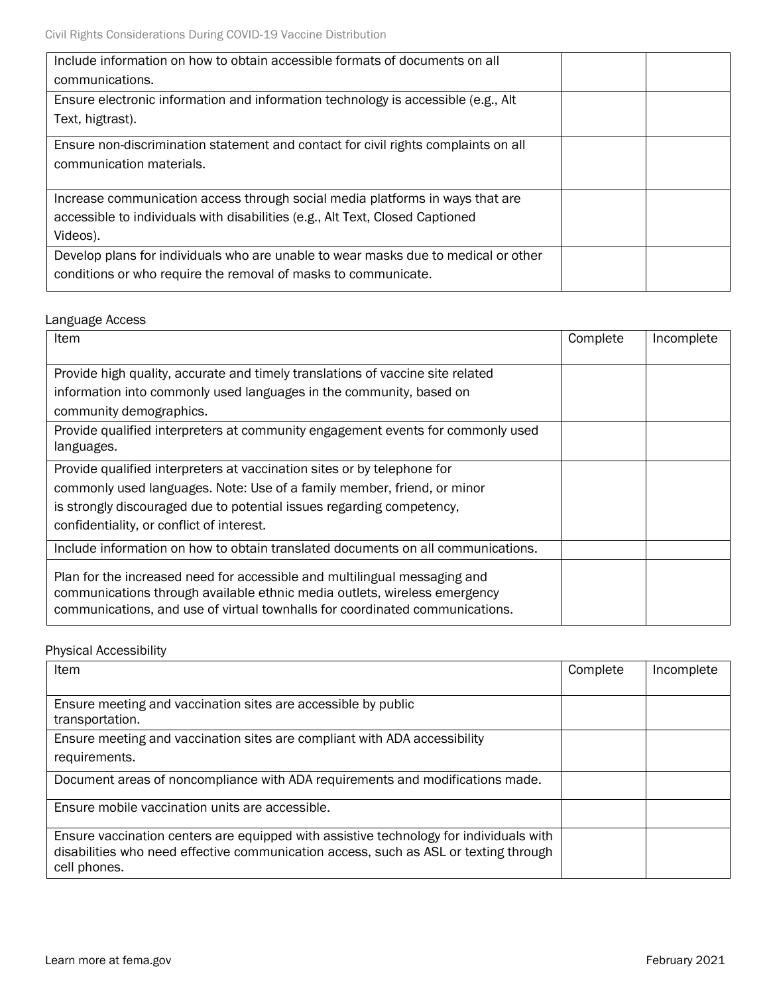| Include information on how to obtain accessible formats of documents on all<br>communications.                                                                             |  |
|----------------------------------------------------------------------------------------------------------------------------------------------------------------------------|--|
| Ensure electronic information and information technology is accessible (e.g., Alt<br>Text, higtrast).                                                                      |  |
| Ensure non-discrimination statement and contact for civil rights complaints on all<br>communication materials.                                                             |  |
| Increase communication access through social media platforms in ways that are<br>accessible to individuals with disabilities (e.g., Alt Text, Closed Captioned<br>Videos). |  |
| Develop plans for individuals who are unable to wear masks due to medical or other<br>conditions or who require the removal of masks to communicate.                       |  |

#### Language Access

| Item                                                                                                                                                                                                                                   | Complete | Incomplete |
|----------------------------------------------------------------------------------------------------------------------------------------------------------------------------------------------------------------------------------------|----------|------------|
| Provide high quality, accurate and timely translations of vaccine site related                                                                                                                                                         |          |            |
| information into commonly used languages in the community, based on                                                                                                                                                                    |          |            |
| community demographics.                                                                                                                                                                                                                |          |            |
| Provide qualified interpreters at community engagement events for commonly used<br>languages.                                                                                                                                          |          |            |
| Provide qualified interpreters at vaccination sites or by telephone for                                                                                                                                                                |          |            |
| commonly used languages. Note: Use of a family member, friend, or minor                                                                                                                                                                |          |            |
| is strongly discouraged due to potential issues regarding competency,                                                                                                                                                                  |          |            |
| confidentiality, or conflict of interest.                                                                                                                                                                                              |          |            |
| Include information on how to obtain translated documents on all communications.                                                                                                                                                       |          |            |
| Plan for the increased need for accessible and multilingual messaging and<br>communications through available ethnic media outlets, wireless emergency<br>communications, and use of virtual townhalls for coordinated communications. |          |            |

Physical Accessibility

| Item                                                                                                                                                                                           | Complete | Incomplete |
|------------------------------------------------------------------------------------------------------------------------------------------------------------------------------------------------|----------|------------|
| Ensure meeting and vaccination sites are accessible by public                                                                                                                                  |          |            |
| transportation.<br>Ensure meeting and vaccination sites are compliant with ADA accessibility                                                                                                   |          |            |
| requirements.                                                                                                                                                                                  |          |            |
| Document areas of noncompliance with ADA requirements and modifications made.                                                                                                                  |          |            |
| Ensure mobile vaccination units are accessible.                                                                                                                                                |          |            |
| Ensure vaccination centers are equipped with assistive technology for individuals with<br>disabilities who need effective communication access, such as ASL or texting through<br>cell phones. |          |            |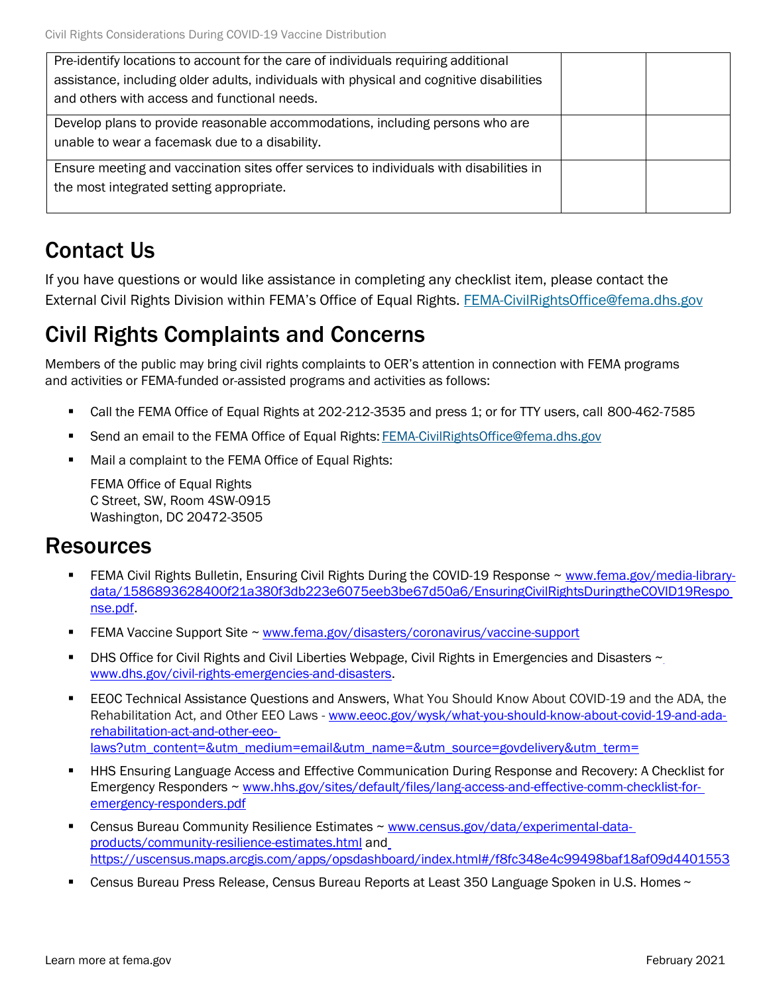| Pre-identify locations to account for the care of individuals requiring additional<br>assistance, including older adults, individuals with physical and cognitive disabilities<br>and others with access and functional needs. |  |
|--------------------------------------------------------------------------------------------------------------------------------------------------------------------------------------------------------------------------------|--|
| Develop plans to provide reasonable accommodations, including persons who are<br>unable to wear a facemask due to a disability.                                                                                                |  |
| Ensure meeting and vaccination sites offer services to individuals with disabilities in<br>the most integrated setting appropriate.                                                                                            |  |

### Contact Us

If you have questions or would like assistance in completing any checklist item, please contact the External Civil Rights Division within FEMA's Office of Equal Rights. [FEMA-CivilRightsOffice@fema.dhs.gov](mailto:FEMA-CivilRightsOffice@fema.dhs.gov)

### Civil Rights Complaints and Concerns

Members of the public may bring civil rights complaints to OER's attention in connection with FEMA programs and activities or FEMA-funded or-assisted programs and activities as follows:

- Call the FEMA Office of Equal Rights at 202-212-3535 and press 1; or for TTY users, call 800-462-7585
- Send an email to the FEMA Office of Equal Rights: [FEMA-CivilRightsOffice@fema.dhs.gov](mailto:FEMA-CivilRightsOffice@fema.dhs.gov)
- Mail a complaint to the FEMA Office of Equal Rights:

FEMA Office of Equal Rights C Street, SW, Room 4SW-0915 Washington, DC 20472-3505

### Resources

- FEMA Civil Rights Bulletin, Ensuring Civil Rights During the COVID-19 Response ~ [www.fema.gov/media-library](http://www.fema.gov/media-library-data/1586893628400f21a380f3db223e6075eeb3be67d50a6/EnsuringCivilRightsDuringtheCOVID19Response.pdf)[data/1586893628400f21a380f3db223e6075eeb3be67d50a6/EnsuringCivilRightsDuringtheCOVID19Respo](http://www.fema.gov/media-library-data/1586893628400f21a380f3db223e6075eeb3be67d50a6/EnsuringCivilRightsDuringtheCOVID19Response.pdf) [nse.pdf.](http://www.fema.gov/media-library-data/1586893628400f21a380f3db223e6075eeb3be67d50a6/EnsuringCivilRightsDuringtheCOVID19Response.pdf)
- **EEMA Vaccine Support Site ~ [www.fema.gov/disasters/coronavirus/vaccine-support](http://www.fema.gov/disasters/coronavirus/vaccine-support)**
- DHS Office for Civil Rights and Civil Liberties Webpage, Civil Rights in Emergencies and Disasters  $\sim$ [www.dhs.gov/civil-rights-emergencies-and-disasters.](http://www.dhs.gov/civil-rights-emergencies-and-disasters)
- **EEOC Technical Assistance Questions and Answers, What You Should Know About COVID-19 and the ADA, the** Rehabilitation Act, and Other EEO Laws - [www.eeoc.gov/wysk/what-you-should-know-about-covid-19-and-ada](http://www.eeoc.gov/wysk/what-you-should-know-about-covid-19-and-ada-rehabilitation-act-and-other-eeo-laws?utm_content&utm_medium=email&utm_name&utm_source=govdelivery&utm_term)[rehabilitation-act-and-other-eeo](http://www.eeoc.gov/wysk/what-you-should-know-about-covid-19-and-ada-rehabilitation-act-and-other-eeo-laws?utm_content&utm_medium=email&utm_name&utm_source=govdelivery&utm_term)[laws?utm\\_content=&utm\\_medium=email&utm\\_name=&utm\\_source=govdelivery&utm\\_term=](http://www.eeoc.gov/wysk/what-you-should-know-about-covid-19-and-ada-rehabilitation-act-and-other-eeo-laws?utm_content&utm_medium=email&utm_name&utm_source=govdelivery&utm_term)
- HHS Ensuring Language Access and Effective Communication During Response and Recovery: A Checklist for Emergency Responders ~ [www.hhs.gov/sites/default/files/lang-access-and-effective-comm-checklist-for](http://www.hhs.gov/sites/default/files/lang-access-and-effective-comm-checklist-for-emergency-responders.pdf)[emergency-responders.pdf](http://www.hhs.gov/sites/default/files/lang-access-and-effective-comm-checklist-for-emergency-responders.pdf)
- Census Bureau Community Resilience Estimates ~ [www.census.gov/data/experimental-data](http://www.census.gov/data/experimental-data-products/community-resilience-estimates.html)[products/community-resilience-estimates.html](http://www.census.gov/data/experimental-data-products/community-resilience-estimates.html) an[d](https://uscensus.maps.arcgis.com/apps/opsdashboard/index.html%23/f8fc348e4c99498baf18af09d4401553) [https://uscensus.maps.arcgis.com/apps/opsdashboard/index.html#/f8fc348e4c99498baf18af09d4401553](https://uscensus.maps.arcgis.com/apps/opsdashboard/index.html%23/f8fc348e4c99498baf18af09d4401553)
- Census Bureau Press Release, Census Bureau Reports at Least 350 Language Spoken in U.S. Homes ~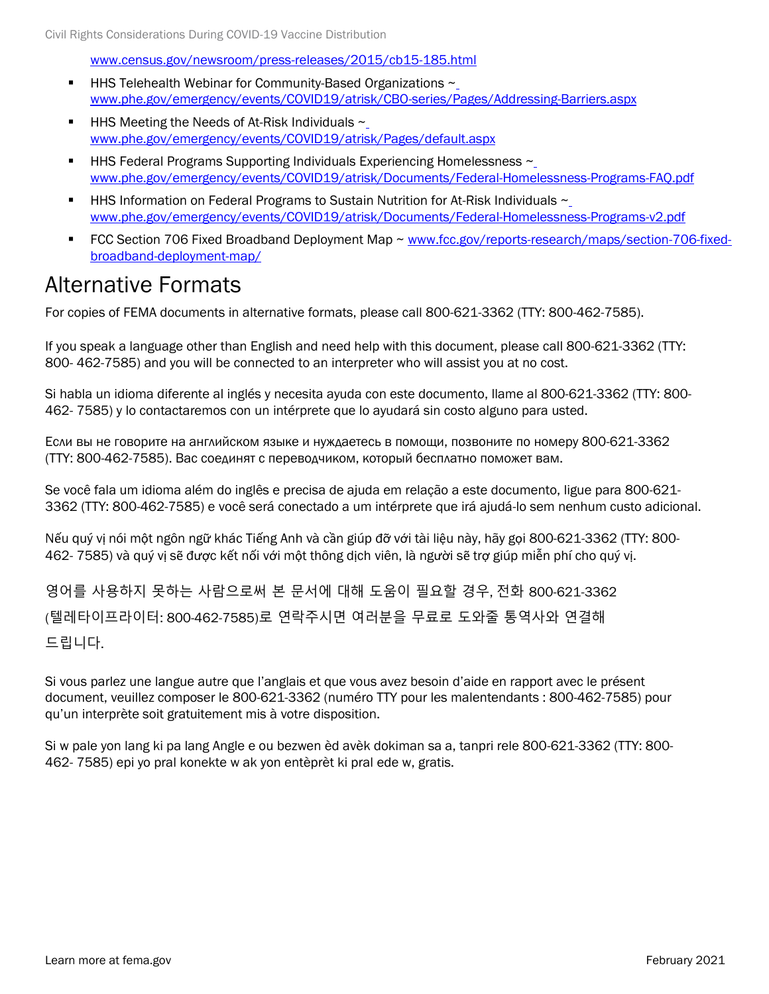[www.census.gov/newsroom/press-releases/2015/cb15-185.html](http://www.census.gov/newsroom/press-releases/2015/cb15-185.html)

- HHS Telehealth Webinar for Community-Based Organizations ~ [www.phe.gov/emergency/events/COVID19/atrisk/CBO-series/Pages/Addressing-Barriers.aspx](http://www.phe.gov/emergency/events/COVID19/atrisk/CBO-series/Pages/Addressing-Barriers.aspx)
- **HHS Meeting the Needs of At-Risk Individuals**  $\sim$ [www.phe.gov/emergency/events/COVID19/atrisk/Pages/default.aspx](http://www.phe.gov/emergency/events/COVID19/atrisk/Pages/default.aspx)
- HHS Federal Programs Supporting Individuals Experiencing Homelessness ~ [www.phe.gov/emergency/events/COVID19/atrisk/Documents/Federal-Homelessness-Programs-FAQ.pdf](http://www.phe.gov/emergency/events/COVID19/atrisk/Documents/Federal-Homelessness-Programs-FAQ.pdf)
- HHS Information on Federal Programs to Sustain Nutrition for At-Risk Individuals  $\sim$ [www.phe.gov/emergency/events/COVID19/atrisk/Documents/Federal-Homelessness-Programs-v2.pdf](http://www.phe.gov/emergency/events/COVID19/atrisk/Documents/Federal-Homelessness-Programs-v2.pdf)
- FCC Section 706 Fixed Broadband Deployment Map ~ [www.fcc.gov/reports-research/maps/section-706-fixed](http://www.fcc.gov/reports-research/maps/section-706-fixed-broadband-deployment-map/)[broadband-deployment-map/](http://www.fcc.gov/reports-research/maps/section-706-fixed-broadband-deployment-map/)

### Alternative Formats

For copies of FEMA documents in alternative formats, please call 800-621-3362 (TTY: 800-462-7585).

If you speak a language other than English and need help with this document, please call 800-621-3362 (TTY: 800- 462-7585) and you will be connected to an interpreter who will assist you at no cost.

Si habla un idioma diferente al inglés y necesita ayuda con este documento, llame al 800-621-3362 (TTY: 800- 462- 7585) y lo contactaremos con un intérprete que lo ayudará sin costo alguno para usted.

Если вы не говорите на английском языке и нуждаетесь в помощи, позвоните по номеру 800-621-3362 (TTY: 800-462-7585). Вас соединят с переводчиком, который бесплатно поможет вам.

Se você fala um idioma além do inglês e precisa de ajuda em relação a este documento, ligue para 800-621- 3362 (TTY: 800-462-7585) e você será conectado a um intérprete que irá ajudá-lo sem nenhum custo adicional.

Nếu quý vị nói một ngôn ngữ khác Tiếng Anh và cần giúp đỡ với tài liệu này, hãy gọi 800-621-3362 (TTY: 800- 462- 7585) và quý vị sẽ được kết nối với một thông dịch viên, là người sẽ trợ giúp miễn phí cho quý vị.

영어를 사용하지 못하는 사람으로써 본 문서에 대해 도움이 필요할 경우, 전화 800-621-3362 (텔레타이프라이터: 800-462-7585)로 연락주시면 여러분을 무료로 도와줄 통역사와 연결해 드립니다.

Si vous parlez une langue autre que l'anglais et que vous avez besoin d'aide en rapport avec le présent document, veuillez composer le 800-621-3362 (numéro TTY pour les malentendants : 800-462-7585) pour qu'un interprète soit gratuitement mis à votre disposition.

Si w pale yon lang ki pa lang Angle e ou bezwen èd avèk dokiman sa a, tanpri rele 800-621-3362 (TTY: 800- 462- 7585) epi yo pral konekte w ak yon entèprèt ki pral ede w, gratis.